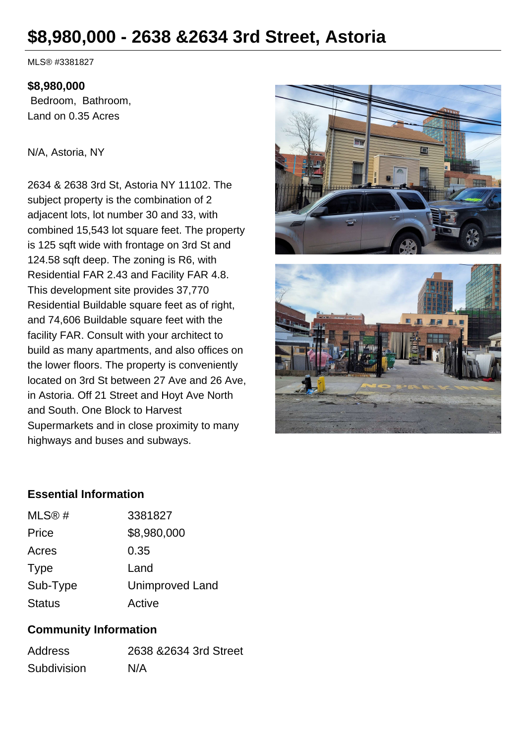# **\$8,980,000 - 2638 &2634 3rd Street, Astoria**

MLS® #3381827

#### **\$8,980,000**

 Bedroom, Bathroom, Land on 0.35 Acres

N/A, Astoria, NY

2634 & 2638 3rd St, Astoria NY 11102. The subject property is the combination of 2 adjacent lots, lot number 30 and 33, with combined 15,543 lot square feet. The property is 125 sqft wide with frontage on 3rd St and 124.58 sqft deep. The zoning is R6, with Residential FAR 2.43 and Facility FAR 4.8. This development site provides 37,770 Residential Buildable square feet as of right, and 74,606 Buildable square feet with the facility FAR. Consult with your architect to build as many apartments, and also offices on the lower floors. The property is conveniently located on 3rd St between 27 Ave and 26 Ave, in Astoria. Off 21 Street and Hoyt Ave North and South. One Block to Harvest Supermarkets and in close proximity to many highways and buses and subways.





#### **Essential Information**

| MLS@#         | 3381827                |
|---------------|------------------------|
| Price         | \$8,980,000            |
| Acres         | 0.35                   |
| <b>Type</b>   | Land                   |
| Sub-Type      | <b>Unimproved Land</b> |
| <b>Status</b> | Active                 |

### **Community Information**

| <b>Address</b> | 2638 & 2634 3rd Street |
|----------------|------------------------|
| Subdivision    | N/A                    |